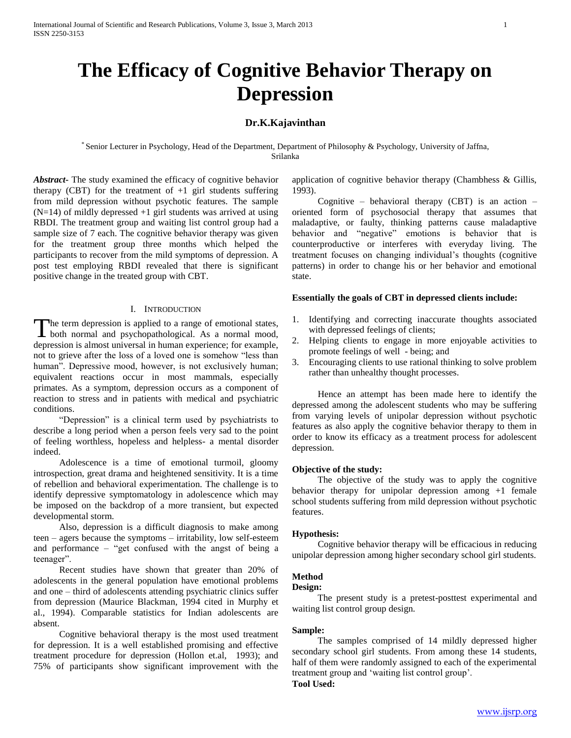# **The Efficacy of Cognitive Behavior Therapy on Depression**

# **Dr.K.Kajavinthan**

\* Senior Lecturer in Psychology, Head of the Department, Department of Philosophy & Psychology, University of Jaffna, Srilanka

*Abstract***-** The study examined the efficacy of cognitive behavior therapy (CBT) for the treatment of  $+1$  girl students suffering from mild depression without psychotic features. The sample (N=14) of mildly depressed +1 girl students was arrived at using RBDI. The treatment group and waiting list control group had a sample size of 7 each. The cognitive behavior therapy was given for the treatment group three months which helped the participants to recover from the mild symptoms of depression. A post test employing RBDI revealed that there is significant positive change in the treated group with CBT.

### I. INTRODUCTION

The term depression is applied to a range of emotional states, The term depression is applied to a range of emotional states, both normal and psychopathological. As a normal mood, depression is almost universal in human experience; for example, not to grieve after the loss of a loved one is somehow "less than human". Depressive mood, however, is not exclusively human; equivalent reactions occur in most mammals, especially primates. As a symptom, depression occurs as a component of reaction to stress and in patients with medical and psychiatric conditions.

 "Depression" is a clinical term used by psychiatrists to describe a long period when a person feels very sad to the point of feeling worthless, hopeless and helpless- a mental disorder indeed.

 Adolescence is a time of emotional turmoil, gloomy introspection, great drama and heightened sensitivity. It is a time of rebellion and behavioral experimentation. The challenge is to identify depressive symptomatology in adolescence which may be imposed on the backdrop of a more transient, but expected developmental storm.

 Also, depression is a difficult diagnosis to make among teen – agers because the symptoms – irritability, low self-esteem and performance – "get confused with the angst of being a teenager".

 Recent studies have shown that greater than 20% of adolescents in the general population have emotional problems and one – third of adolescents attending psychiatric clinics suffer from depression (Maurice Blackman, 1994 cited in Murphy et al., 1994). Comparable statistics for Indian adolescents are absent.

 Cognitive behavioral therapy is the most used treatment for depression. It is a well established promising and effective treatment procedure for depression (Hollon et.al, 1993); and 75% of participants show significant improvement with the

application of cognitive behavior therapy (Chambhess  $\&$  Gillis, 1993).

Cognitive – behavioral therapy (CBT) is an action – oriented form of psychosocial therapy that assumes that maladaptive, or faulty, thinking patterns cause maladaptive behavior and "negative" emotions is behavior that is counterproductive or interferes with everyday living. The treatment focuses on changing individual"s thoughts (cognitive patterns) in order to change his or her behavior and emotional state.

### **Essentially the goals of CBT in depressed clients include:**

- 1. Identifying and correcting inaccurate thoughts associated with depressed feelings of clients;
- 2. Helping clients to engage in more enjoyable activities to promote feelings of well - being; and
- 3. Encouraging clients to use rational thinking to solve problem rather than unhealthy thought processes.

 Hence an attempt has been made here to identify the depressed among the adolescent students who may be suffering from varying levels of unipolar depression without psychotic features as also apply the cognitive behavior therapy to them in order to know its efficacy as a treatment process for adolescent depression.

#### **Objective of the study:**

 The objective of the study was to apply the cognitive behavior therapy for unipolar depression among +1 female school students suffering from mild depression without psychotic features.

#### **Hypothesis:**

 Cognitive behavior therapy will be efficacious in reducing unipolar depression among higher secondary school girl students.

# **Method**

#### **Design:**

 The present study is a pretest-posttest experimental and waiting list control group design.

#### **Sample:**

 The samples comprised of 14 mildly depressed higher secondary school girl students. From among these 14 students, half of them were randomly assigned to each of the experimental treatment group and "waiting list control group".

# **Tool Used:**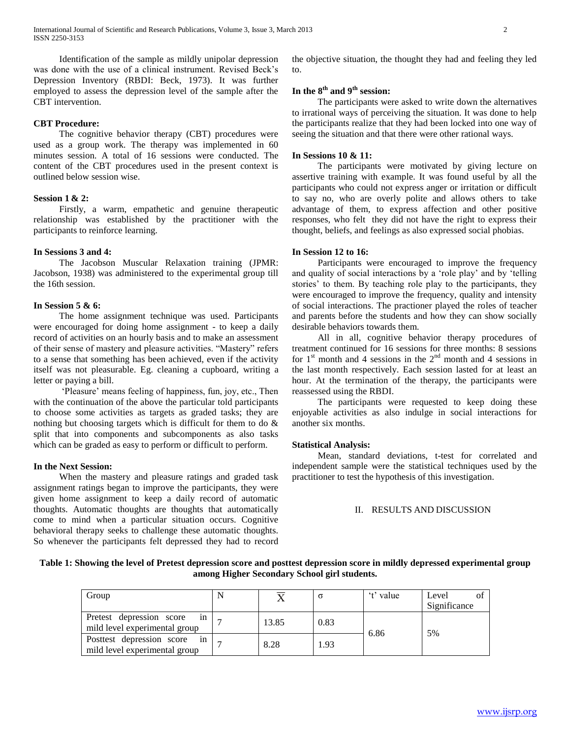Identification of the sample as mildly unipolar depression was done with the use of a clinical instrument. Revised Beck"s Depression Inventory (RBDI: Beck, 1973). It was further employed to assess the depression level of the sample after the CBT intervention.

# **CBT Procedure:**

 The cognitive behavior therapy (CBT) procedures were used as a group work. The therapy was implemented in 60 minutes session. A total of 16 sessions were conducted. The content of the CBT procedures used in the present context is outlined below session wise.

# **Session 1 & 2:**

 Firstly, a warm, empathetic and genuine therapeutic relationship was established by the practitioner with the participants to reinforce learning.

# **In Sessions 3 and 4:**

 The Jacobson Muscular Relaxation training (JPMR: Jacobson, 1938) was administered to the experimental group till the 16th session.

# **In Session 5 & 6:**

 The home assignment technique was used. Participants were encouraged for doing home assignment - to keep a daily record of activities on an hourly basis and to make an assessment of their sense of mastery and pleasure activities. "Mastery" refers to a sense that something has been achieved, even if the activity itself was not pleasurable. Eg. cleaning a cupboard, writing a letter or paying a bill.

 "Pleasure" means feeling of happiness, fun, joy, etc., Then with the continuation of the above the particular told participants to choose some activities as targets as graded tasks; they are nothing but choosing targets which is difficult for them to do & split that into components and subcomponents as also tasks which can be graded as easy to perform or difficult to perform.

### **In the Next Session:**

 When the mastery and pleasure ratings and graded task assignment ratings began to improve the participants, they were given home assignment to keep a daily record of automatic thoughts. Automatic thoughts are thoughts that automatically come to mind when a particular situation occurs. Cognitive behavioral therapy seeks to challenge these automatic thoughts. So whenever the participants felt depressed they had to record the objective situation, the thought they had and feeling they led to.

# **In the 8th and 9th session:**

 The participants were asked to write down the alternatives to irrational ways of perceiving the situation. It was done to help the participants realize that they had been locked into one way of seeing the situation and that there were other rational ways.

## **In Sessions 10 & 11:**

 The participants were motivated by giving lecture on assertive training with example. It was found useful by all the participants who could not express anger or irritation or difficult to say no, who are overly polite and allows others to take advantage of them, to express affection and other positive responses, who felt they did not have the right to express their thought, beliefs, and feelings as also expressed social phobias.

# **In Session 12 to 16:**

 Participants were encouraged to improve the frequency and quality of social interactions by a "role play" and by "telling stories' to them. By teaching role play to the participants, they were encouraged to improve the frequency, quality and intensity of social interactions. The practioner played the roles of teacher and parents before the students and how they can show socially desirable behaviors towards them.

 All in all, cognitive behavior therapy procedures of treatment continued for 16 sessions for three months: 8 sessions for  $1<sup>st</sup>$  month and 4 sessions in the  $2<sup>nd</sup>$  month and 4 sessions in the last month respectively. Each session lasted for at least an hour. At the termination of the therapy, the participants were reassessed using the RBDI.

 The participants were requested to keep doing these enjoyable activities as also indulge in social interactions for another six months.

### **Statistical Analysis:**

 Mean, standard deviations, t-test for correlated and independent sample were the statistical techniques used by the practitioner to test the hypothesis of this investigation.

### II. RESULTS AND DISCUSSION

**Table 1: Showing the level of Pretest depression score and posttest depression score in mildly depressed experimental group among Higher Secondary School girl students.**

| Group                                                            |       |      | 't' value | Level<br>$\Omega$<br>Significance |
|------------------------------------------------------------------|-------|------|-----------|-----------------------------------|
| Pretest depression score<br>1n<br>mild level experimental group  | 13.85 | 0.83 | 6.86      |                                   |
| Posttest depression score<br>1n<br>mild level experimental group | 8.28  | 1.93 |           | 5%                                |